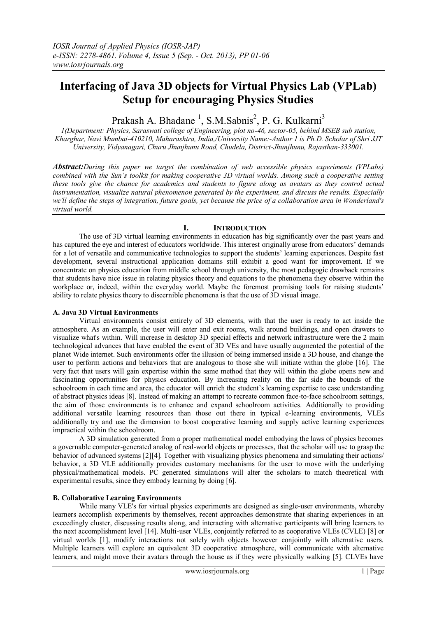# **Interfacing of Java 3D objects for Virtual Physics Lab (VPLab) Setup for encouraging Physics Studies**

Prakash A. Bhadane<sup>1</sup>, S.M.Sabnis<sup>2</sup>, P. G. Kulkarni<sup>3</sup>

*1(Department: Physics, Saraswati college of Engineering, plot no-46, sector-05, behind MSEB sub station, Kharghar, Navi Mumbai-410210, Maharashtra, India,/University Name:-Author 1 is Ph.D. Scholar of Shri JJT University, Vidyanagari, Churu Jhunjhunu Road, Chudela, District-Jhunjhunu, Rajasthan-333001.*

*Abstract:During this paper we target the combination of web accessible physics experiments (VPLabs) combined with the Sun's toolkit for making cooperative 3D virtual worlds. Among such a cooperative setting these tools give the chance for academics and students to figure along as avatars as they control actual instrumentation, visualize natural phenomenon generated by the experiment, and discuss the results. Especially we'll define the steps of integration, future goals, yet because the price of a collaboration area in Wonderland's virtual world.*

# **I. INTRODUCTION**

The use of 3D virtual learning environments in education has big significantly over the past years and has captured the eye and interest of educators worldwide. This interest originally arose from educators' demands for a lot of versatile and communicative technologies to support the students" learning experiences. Despite fast development, several instructional application domains still exhibit a good want for improvement. If we concentrate on physics education from middle school through university, the most pedagogic drawback remains that students have nice issue in relating physics theory and equations to the phenomena they observe within the workplace or, indeed, within the everyday world. Maybe the foremost promising tools for raising students' ability to relate physics theory to discernible phenomena is that the use of 3D visual image.

## **A. Java 3D Virtual Environments**

Virtual environments consist entirely of 3D elements, with that the user is ready to act inside the atmosphere. As an example, the user will enter and exit rooms, walk around buildings, and open drawers to visualize what's within. Will increase in desktop 3D special effects and network infrastructure were the 2 main technological advances that have enabled the event of 3D VEs and have usually augmented the potential of the planet Wide internet. Such environments offer the illusion of being immersed inside a 3D house, and change the user to perform actions and behaviors that are analogous to those she will initiate within the globe [16]. The very fact that users will gain expertise within the same method that they will within the globe opens new and fascinating opportunities for physics education. By increasing reality on the far side the bounds of the schoolroom in each time and area, the educator will enrich the student's learning expertise to ease understanding of abstract physics ideas [8]. Instead of making an attempt to recreate common face-to-face schoolroom settings, the aim of those environments is to enhance and expand schoolroom activities. Additionally to providing additional versatile learning resources than those out there in typical e-learning environments, VLEs additionally try and use the dimension to boost cooperative learning and supply active learning experiences impractical within the schoolroom.

A 3D simulation generated from a proper mathematical model embodying the laws of physics becomes a governable computer-generated analog of real-world objects or processes, that the scholar will use to grasp the behavior of advanced systems [2][4]. Together with visualizing physics phenomena and simulating their actions/ behavior, a 3D VLE additionally provides customary mechanisms for the user to move with the underlying physical/mathematical models. PC generated simulations will alter the scholars to match theoretical with experimental results, since they embody learning by doing [6].

## **B. Collaborative Learning Environments**

While many VLE's for virtual physics experiments are designed as single-user environments, whereby learners accomplish experiments by themselves, recent approaches demonstrate that sharing experiences in an exceedingly cluster, discussing results along, and interacting with alternative participants will bring learners to the next accomplishment level [14]. Multi-user VLEs, conjointly referred to as cooperative VLEs (CVLE) [8] or virtual worlds [1], modify interactions not solely with objects however conjointly with alternative users. Multiple learners will explore an equivalent 3D cooperative atmosphere, will communicate with alternative learners, and might move their avatars through the house as if they were physically walking [5]. CLVEs have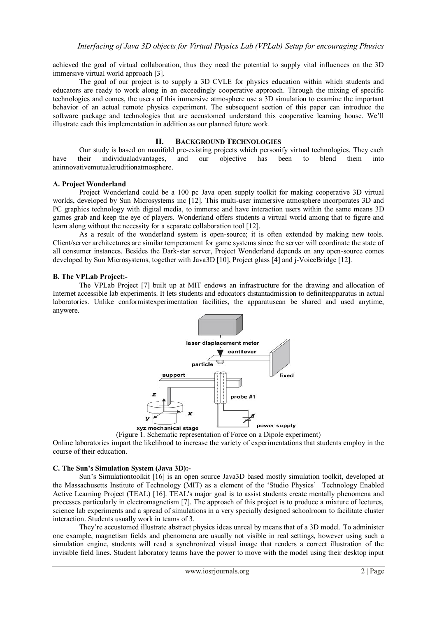achieved the goal of virtual collaboration, thus they need the potential to supply vital influences on the 3D immersive virtual world approach [3].

The goal of our project is to supply a 3D CVLE for physics education within which students and educators are ready to work along in an exceedingly cooperative approach. Through the mixing of specific technologies and comes, the users of this immersive atmosphere use a 3D simulation to examine the important behavior of an actual remote physics experiment. The subsequent section of this paper can introduce the software package and technologies that are accustomed understand this cooperative learning house. We"ll illustrate each this implementation in addition as our planned future work.

### **II. BACKGROUND TECHNOLOGIES**

Our study is based on manifold pre-existing projects which personify virtual technologies. They each have their individualadvantages, and our objective has been to blend them into aninnovativemutualeruditionatmosphere.

#### **A. Project Wonderland**

Project Wonderland could be a 100 pc Java open supply toolkit for making cooperative 3D virtual worlds, developed by Sun Microsystems inc [12]. This multi-user immersive atmosphere incorporates 3D and PC graphics technology with digital media, to immerse and have interaction users within the same means 3D games grab and keep the eye of players. Wonderland offers students a virtual world among that to figure and learn along without the necessity for a separate collaboration tool [12].

As a result of the wonderland system is open-source; it is often extended by making new tools. Client/server architectures are similar temperament for game systems since the server will coordinate the state of all consumer instances. Besides the Dark-star server, Project Wonderland depends on any open-source comes developed by Sun Microsystems, together with Java3D [10], Project glass [4] and j-VoiceBridge [12].

#### **B. The VPLab Project:-**

The VPLab Project [7] built up at MIT endows an infrastructure for the drawing and allocation of Internet accessible lab experiments. It lets students and educators distantadmission to definiteapparatus in actual laboratories. Unlike conformistexperimentation facilities, the apparatuscan be shared and used anytime, anywere.



(Figure 1. Schematic representation of Force on a Dipole experiment)

Online laboratories impart the likelihood to increase the variety of experimentations that students employ in the course of their education.

#### **C. The Sun's Simulation System (Java 3D):-**

Sun"s Simulationtoolkit [16] is an open source Java3D based mostly simulation toolkit, developed at the Massachusetts Institute of Technology (MIT) as a element of the "Studio Physics" Technology Enabled Active Learning Project (TEAL) [16]. TEAL's major goal is to assist students create mentally phenomena and processes particularly in electromagnetism [7]. The approach of this project is to produce a mixture of lectures, science lab experiments and a spread of simulations in a very specially designed schoolroom to facilitate cluster interaction. Students usually work in teams of 3.

They"re accustomed illustrate abstract physics ideas unreal by means that of a 3D model. To administer one example, magnetism fields and phenomena are usually not visible in real settings, however using such a simulation engine, students will read a synchronized visual image that renders a correct illustration of the invisible field lines. Student laboratory teams have the power to move with the model using their desktop input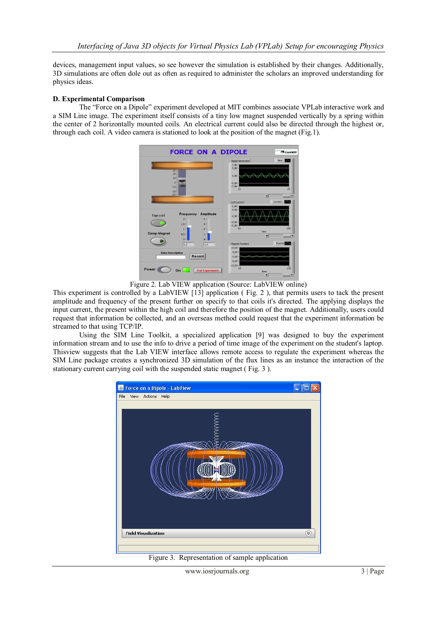devices, management input values, so see however the simulation is established by their changes. Additionally, 3D simulations are often dole out as often as required to administer the scholars an improved understanding for physics ideas.

## **D. Experimental Comparison**

The "Force on a Dipole" experiment developed at MIT combines associate VPLab interactive work and a SIM Line image. The experiment itself consists of a tiny low magnet suspended vertically by a spring within the center of 2 horizontally mounted coils. An electrical current could also be directed through the highest or, through each coil. A video camera is stationed to look at the position of the magnet (Fig.1).



Figure 2. Lab VIEW application (Source: LabVIEW online)

This experiment is controlled by a LabVIEW [13] application ( Fig. 2 ), that permits users to tack the present amplitude and frequency of the present further on specify to that coils it's directed. The applying displays the input current, the present within the high coil and therefore the position of the magnet. Additionally, users could request that information be collected, and an overseas method could request that the experiment information be streamed to that using TCP/IP.

Using the SIM Line Toolkit, a specialized application [9] was designed to buy the experiment information stream and to use the info to drive a period of time image of the experiment on the student's laptop. Thisview suggests that the Lab VIEW interface allows remote access to regulate the experiment whereas the SIM Line package creates a synchronized 3D simulation of the flux lines as an instance the interaction of the stationary current carrying coil with the suspended static magnet ( Fig. 3 ).



Figure 3. Representation of sample application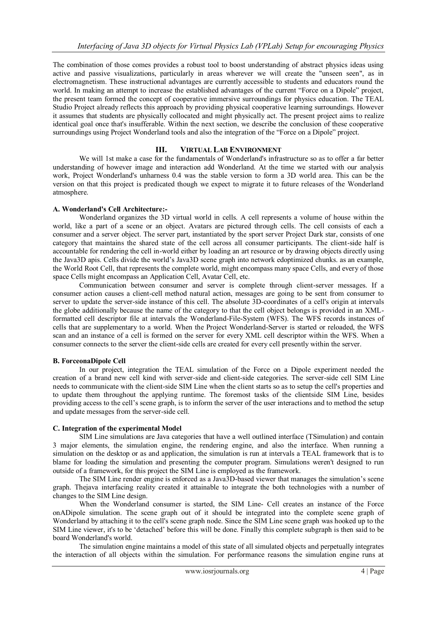The combination of those comes provides a robust tool to boost understanding of abstract physics ideas using active and passive visualizations, particularly in areas wherever we will create the "unseen seen", as in electromagnetism. These instructional advantages are currently accessible to students and educators round the world. In making an attempt to increase the established advantages of the current "Force on a Dipole" project, the present team formed the concept of cooperative immersive surroundings for physics education. The TEAL Studio Project already reflects this approach by providing physical cooperative learning surroundings. However it assumes that students are physically collocated and might physically act. The present project aims to realize identical goal once that's insufferable. Within the next section, we describe the conclusion of these cooperative surroundings using Project Wonderland tools and also the integration of the "Force on a Dipole" project.

## **III. VIRTUAL LAB ENVIRONMENT**

We will 1st make a case for the fundamentals of Wonderland's infrastructure so as to offer a far better understanding of however image and interaction add Wonderland. At the time we started with our analysis work, Project Wonderland's unharness 0.4 was the stable version to form a 3D world area. This can be the version on that this project is predicated though we expect to migrate it to future releases of the Wonderland atmosphere.

## **A. Wonderland's Cell Architecture:-**

Wonderland organizes the 3D virtual world in cells. A cell represents a volume of house within the world, like a part of a scene or an object. Avatars are pictured through cells. The cell consists of each a consumer and a server object. The server part, instantiated by the sport server Project Dark star, consists of one category that maintains the shared state of the cell across all consumer participants. The client-side half is accountable for rendering the cell in-world either by loading an art resource or by drawing objects directly using the Java3D apis. Cells divide the world"s Java3D scene graph into network edoptimized chunks. as an example, the World Root Cell, that represents the complete world, might encompass many space Cells, and every of those space Cells might encompass an Application Cell, Avatar Cell, etc.

Communication between consumer and server is complete through client-server messages. If a consumer action causes a client-cell method natural action, messages are going to be sent from consumer to server to update the server-side instance of this cell. The absolute 3D-coordinates of a cell's origin at intervals the globe additionally because the name of the category to that the cell object belongs is provided in an XMLformatted cell descriptor file at intervals the Wonderland-File-System (WFS). The WFS records instances of cells that are supplementary to a world. When the Project Wonderland-Server is started or reloaded, the WFS scan and an instance of a cell is formed on the server for every XML cell descriptor within the WFS. When a consumer connects to the server the client-side cells are created for every cell presently within the server.

# **B. ForceonaDipole Cell**

In our project, integration the TEAL simulation of the Force on a Dipole experiment needed the creation of a brand new cell kind with server-side and client-side categories. The server-side cell SIM Line needs to communicate with the client-side SIM Line when the client starts so as to setup the cell's properties and to update them throughout the applying runtime. The foremost tasks of the clientside SIM Line, besides providing access to the cell"s scene graph, is to inform the server of the user interactions and to method the setup and update messages from the server-side cell.

# **C. Integration of the experimental Model**

SIM Line simulations are Java categories that have a well outlined interface (TSimulation) and contain 3 major elements, the simulation engine, the rendering engine, and also the interface. When running a simulation on the desktop or as and application, the simulation is run at intervals a TEAL framework that is to blame for loading the simulation and presenting the computer program. Simulations weren't designed to run outside of a framework, for this project the SIM Line is employed as the framework.

The SIM Line render engine is enforced as a Java3D-based viewer that manages the simulation"s scene graph. Thejava interfacing reality created it attainable to integrate the both technologies with a number of changes to the SIM Line design.

When the Wonderland consumer is started, the SIM Line- Cell creates an instance of the Force onADipole simulation. The scene graph out of it should be integrated into the complete scene graph of Wonderland by attaching it to the cell's scene graph node. Since the SIM Line scene graph was hooked up to the SIM Line viewer, it's to be "detached" before this will be done. Finally this complete subgraph is then said to be board Wonderland's world.

The simulation engine maintains a model of this state of all simulated objects and perpetually integrates the interaction of all objects within the simulation. For performance reasons the simulation engine runs at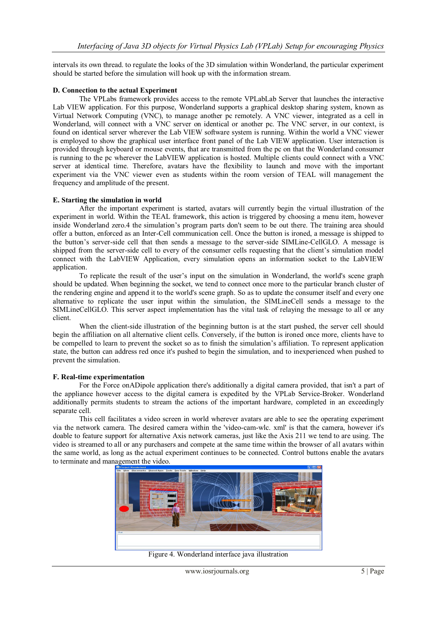intervals its own thread. to regulate the looks of the 3D simulation within Wonderland, the particular experiment should be started before the simulation will hook up with the information stream.

## **D. Connection to the actual Experiment**

The VPLabs framework provides access to the remote VPLabLab Server that launches the interactive Lab VIEW application. For this purpose, Wonderland supports a graphical desktop sharing system, known as Virtual Network Computing (VNC), to manage another pc remotely. A VNC viewer, integrated as a cell in Wonderland, will connect with a VNC server on identical or another pc. The VNC server, in our context, is found on identical server wherever the Lab VIEW software system is running. Within the world a VNC viewer is employed to show the graphical user interface front panel of the Lab VIEW application. User interaction is provided through keyboard or mouse events, that are transmitted from the pc on that the Wonderland consumer is running to the pc wherever the LabVIEW application is hosted. Multiple clients could connect with a VNC server at identical time. Therefore, avatars have the flexibility to launch and move with the important experiment via the VNC viewer even as students within the room version of TEAL will management the frequency and amplitude of the present.

#### **E. Starting the simulation in world**

After the important experiment is started, avatars will currently begin the virtual illustration of the experiment in world. Within the TEAL framework, this action is triggered by choosing a menu item, however inside Wonderland zero.4 the simulation"s program parts don't seem to be out there. The training area should offer a button, enforced as an Inter-Cell communication cell. Once the button is ironed, a message is shipped to the button"s server-side cell that then sends a message to the server-side SIMLine-CellGLO. A message is shipped from the server-side cell to every of the consumer cells requesting that the client"s simulation model connect with the LabVIEW Application, every simulation opens an information socket to the LabVIEW application.

To replicate the result of the user"s input on the simulation in Wonderland, the world's scene graph should be updated. When beginning the socket, we tend to connect once more to the particular branch cluster of the rendering engine and append it to the world's scene graph. So as to update the consumer itself and every one alternative to replicate the user input within the simulation, the SIMLineCell sends a message to the SIMLineCellGLO. This server aspect implementation has the vital task of relaying the message to all or any client.

When the client-side illustration of the beginning button is at the start pushed, the server cell should begin the affiliation on all alternative client cells. Conversely, if the button is ironed once more, clients have to be compelled to learn to prevent the socket so as to finish the simulation"s affiliation. To represent application state, the button can address red once it's pushed to begin the simulation, and to inexperienced when pushed to prevent the simulation.

#### **F. Real-time experimentation**

For the Force onADipole application there's additionally a digital camera provided, that isn't a part of the appliance however access to the digital camera is expedited by the VPLab Service-Broker. Wonderland additionally permits students to stream the actions of the important hardware, completed in an exceedingly separate cell.

This cell facilitates a video screen in world wherever avatars are able to see the operating experiment via the network camera. The desired camera within the 'video-cam-wlc. xml' is that the camera, however it's doable to feature support for alternative Axis network cameras, just like the Axis 211 we tend to are using. The video is streamed to all or any purchasers and compete at the same time within the browser of all avatars within the same world, as long as the actual experiment continues to be connected. Control buttons enable the avatars to terminate and management the video.



Figure 4. Wonderland interface java illustration